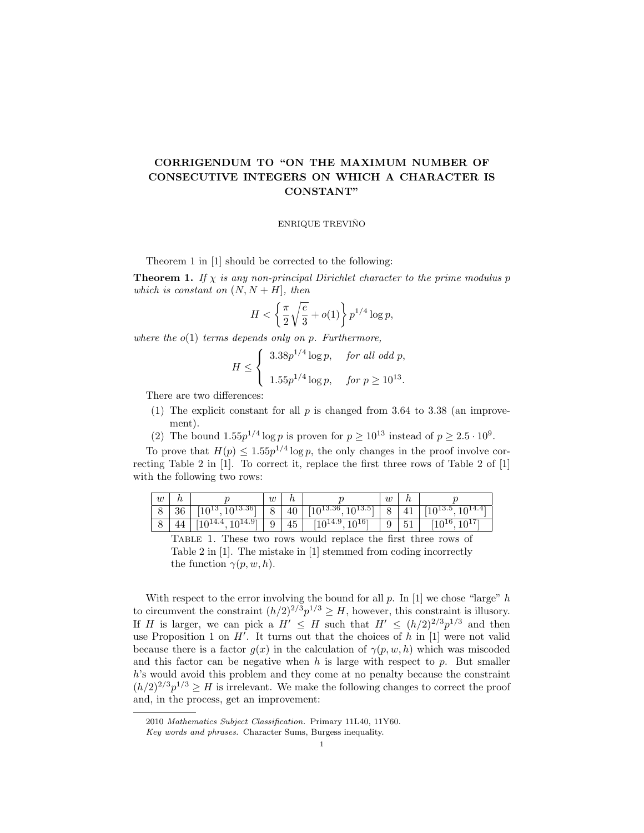## CORRIGENDUM TO "ON THE MAXIMUM NUMBER OF CONSECUTIVE INTEGERS ON WHICH A CHARACTER IS CONSTANT"

## ENRIQUE TREVIÑO

Theorem 1 in [1] should be corrected to the following:

**Theorem 1.** If  $\chi$  is any non-principal Dirichlet character to the prime modulus p which is constant on  $(N, N + H]$ , then

$$
H < \left\{ \frac{\pi}{2} \sqrt{\frac{e}{3}} + o(1) \right\} p^{1/4} \log p,
$$

where the  $o(1)$  terms depends only on p. Furthermore,

$$
H \le \begin{cases} 3.38p^{1/4} \log p, & \text{for all odd } p, \\ 1.55p^{1/4} \log p, & \text{for } p \ge 10^{13}. \end{cases}
$$

There are two differences:

- (1) The explicit constant for all  $p$  is changed from 3.64 to 3.38 (an improvement).
- (2) The bound  $1.55p^{1/4}$  log p is proven for  $p \ge 10^{13}$  instead of  $p \ge 2.5 \cdot 10^9$ .

To prove that  $H(p) \leq 1.55p^{1/4} \log p$ , the only changes in the proof involve correcting Table 2 in [1]. To correct it, replace the first three rows of Table 2 of [1] with the following two rows:

| w       | 1 U             |                            | $\boldsymbol{w}$ | $\overline{\phantom{a}}$ |                                        | $\boldsymbol{w}$ | Ιt             |                                    |
|---------|-----------------|----------------------------|------------------|--------------------------|----------------------------------------|------------------|----------------|------------------------------------|
| $\circ$ | $\Omega$<br>-50 | $10^{13.36}$<br><b>UTO</b> | O                | 40                       | $10^{13.36}$<br>1013.5                 | O                | 41             | 1714.4<br><b>ULLO.</b><br>ΨU<br>⊥∪ |
| $\circ$ | 44              | $10^{14.91}$               | 9                | 45                       | 1016<br>1014.9<br>⊥∪<br>$\overline{v}$ | ັ                | $\sim$ 4<br>υı | 1010<br>1016<br>≖∪                 |

Table 1. These two rows would replace the first three rows of Table 2 in [1]. The mistake in [1] stemmed from coding incorrectly the function  $\gamma(p, w, h)$ .

With respect to the error involving the bound for all  $p$ . In [1] we chose "large"  $h$ to circumvent the constraint  $(h/2)^{2/3}p^{1/3} \geq H$ , however, this constraint is illusory. If H is larger, we can pick a  $H' \leq H$  such that  $H' \leq (h/2)^{2/3}p^{1/3}$  and then use Proposition 1 on  $H'$ . It turns out that the choices of h in [1] were not valid because there is a factor  $q(x)$  in the calculation of  $\gamma(p, w, h)$  which was miscoded and this factor can be negative when  $h$  is large with respect to  $p$ . But smaller h's would avoid this problem and they come at no penalty because the constraint  $(h/2)^{2/3}p^{1/3} \geq H$  is irrelevant. We make the following changes to correct the proof and, in the process, get an improvement:

<sup>2010</sup> Mathematics Subject Classification. Primary 11L40, 11Y60.

Key words and phrases. Character Sums, Burgess inequality.